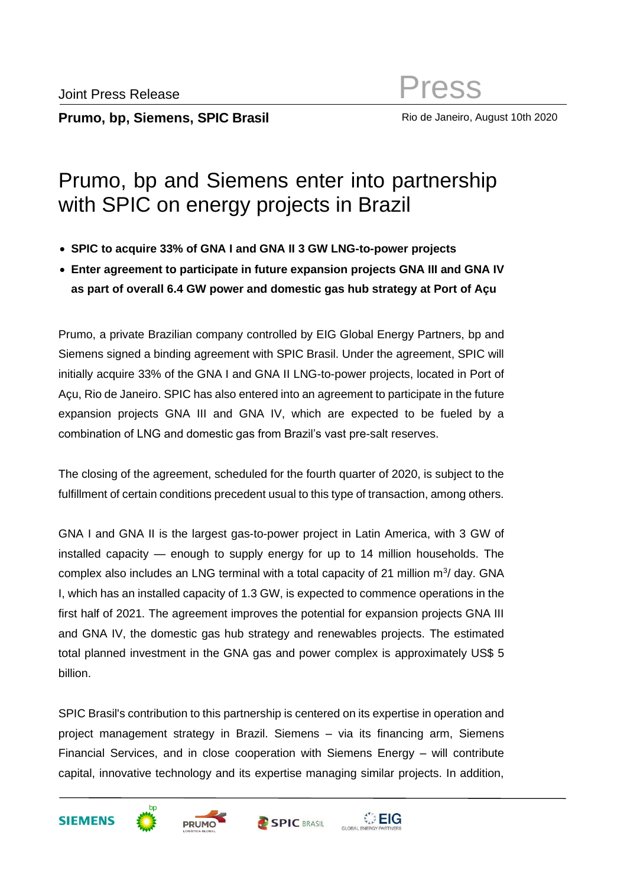Rio de Janeiro, August 10th 2020

# Prumo, bp and Siemens enter into partnership with SPIC on energy projects in Brazil

- **SPIC to acquire 33% of GNA I and GNA II 3 GW LNG-to-power projects**
- **Enter agreement to participate in future expansion projects GNA III and GNA IV as part of overall 6.4 GW power and domestic gas hub strategy at Port of Açu**

Prumo, a private Brazilian company controlled by EIG Global Energy Partners, bp and Siemens signed a binding agreement with SPIC Brasil. Under the agreement, SPIC will initially acquire 33% of the GNA I and GNA II LNG-to-power projects, located in Port of Açu, Rio de Janeiro. SPIC has also entered into an agreement to participate in the future expansion projects GNA III and GNA IV, which are expected to be fueled by a combination of LNG and domestic gas from Brazil's vast pre-salt reserves.

The closing of the agreement, scheduled for the fourth quarter of 2020, is subject to the fulfillment of certain conditions precedent usual to this type of transaction, among others.

GNA I and GNA II is the largest gas-to-power project in Latin America, with 3 GW of installed capacity — enough to supply energy for up to 14 million households. The complex also includes an LNG terminal with a total capacity of 21 million  $m^3$ / day. GNA I, which has an installed capacity of 1.3 GW, is expected to commence operations in the first half of 2021. The agreement improves the potential for expansion projects GNA III and GNA IV, the domestic gas hub strategy and renewables projects. The estimated total planned investment in the GNA gas and power complex is approximately US\$ 5 billion.

SPIC Brasil's contribution to this partnership is centered on its expertise in operation and project management strategy in Brazil. Siemens – via its financing arm, Siemens Financial Services, and in close cooperation with Siemens Energy – will contribute capital, innovative technology and its expertise managing similar projects. In addition,







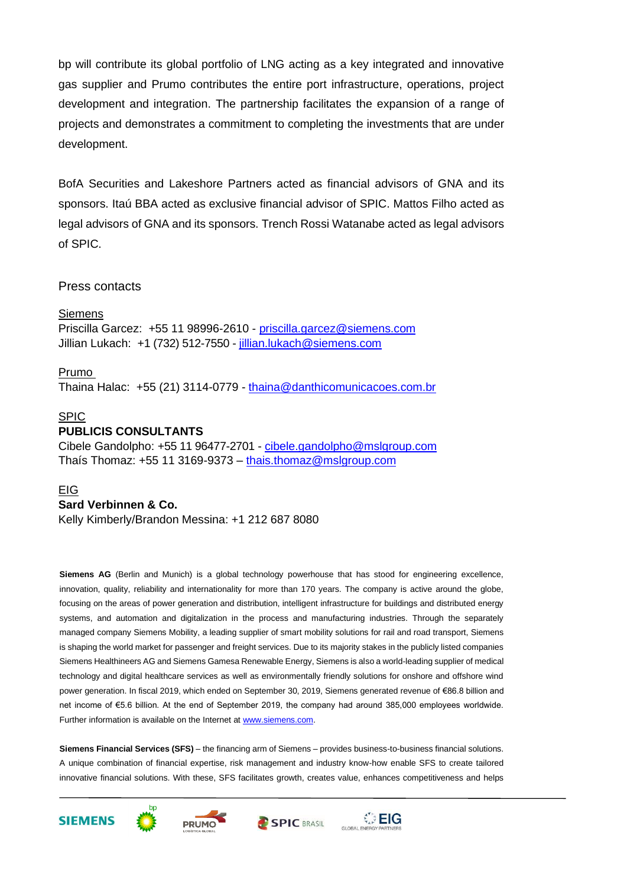bp will contribute its global portfolio of LNG acting as a key integrated and innovative gas supplier and Prumo contributes the entire port infrastructure, operations, project development and integration. The partnership facilitates the expansion of a range of projects and demonstrates a commitment to completing the investments that are under development.

BofA Securities and Lakeshore Partners acted as financial advisors of GNA and its sponsors. Itaú BBA acted as exclusive financial advisor of SPIC. Mattos Filho acted as legal advisors of GNA and its sponsors. Trench Rossi Watanabe acted as legal advisors of SPIC.

## Press contacts

## **Siemens**

Priscilla Garcez: +55 11 98996-2610 - [priscilla.garcez@siemens.com](mailto:priscilla.garcez@siemens.com) Jillian Lukach: [+1 \(732\) 512-7550](mailto:%20+1%20(732)%20512-7550) - [jillian.lukach@siemens.com](mailto:jillian.lukach@siemens.com)

## Prumo

Thaina Halac: +55 (21) 3114-0779 - [thaina@danthicomunicacoes.com.br](mailto:thaina@danthicomunicacoes.com.br)

## SPIC

## **PUBLICIS CONSULTANTS**

Cibele Gandolpho: +55 11 96477-2701 - [cibele.gandolpho@mslgroup.com](mailto:cibele.gandolpho@mslgroup.com) Thaís Thomaz: +55 11 3169-9373 - [thais.thomaz@mslgroup.com](mailto:thais.thomaz@mslgroup.com)

## EIG

## **Sard Verbinnen & Co.**

Kelly Kimberly/Brandon Messina: +1 212 687 8080

**Siemens AG** (Berlin and Munich) is a global technology powerhouse that has stood for engineering excellence, innovation, quality, reliability and internationality for more than 170 years. The company is active around the globe, focusing on the areas of power generation and distribution, intelligent infrastructure for buildings and distributed energy systems, and automation and digitalization in the process and manufacturing industries. Through the separately managed company Siemens Mobility, a leading supplier of smart mobility solutions for rail and road transport, Siemens is shaping the world market for passenger and freight services. Due to its majority stakes in the publicly listed companies Siemens Healthineers AG and Siemens Gamesa Renewable Energy, Siemens is also a world-leading supplier of medical technology and digital healthcare services as well as environmentally friendly solutions for onshore and offshore wind power generation. In fiscal 2019, which ended on September 30, 2019, Siemens generated revenue of €86.8 billion and net income of €5.6 billion. At the end of September 2019, the company had around 385,000 employees worldwide. Further information is available on the Internet at [www.siemens.com.](http://www.siemens.com/)

**Siemens Financial Services (SFS)** – the financing arm of Siemens – provides business-to-business financial solutions. A unique combination of financial expertise, risk management and industry know-how enable SFS to create tailored innovative financial solutions. With these, SFS facilitates growth, creates value, enhances competitiveness and helps





bo